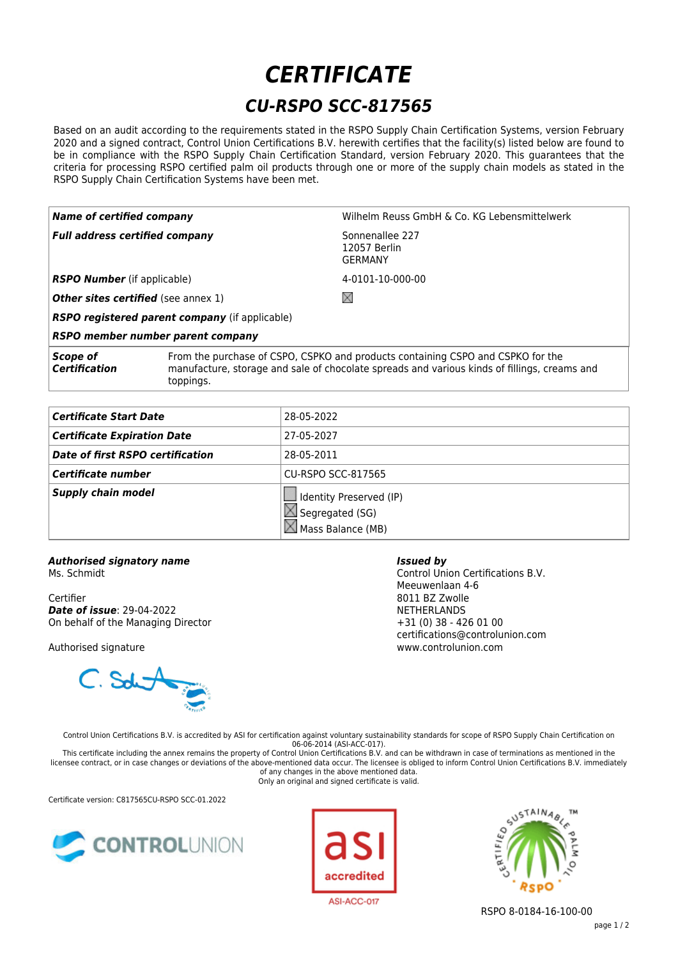## *CERTIFICATE CU-RSPO SCC-817565*

Based on an audit according to the requirements stated in the RSPO Supply Chain Certification Systems, version February 2020 and a signed contract, Control Union Certifications B.V. herewith certifies that the facility(s) listed below are found to be in compliance with the RSPO Supply Chain Certification Standard, version February 2020. This guarantees that the criteria for processing RSPO certified palm oil products through one or more of the supply chain models as stated in the RSPO Supply Chain Certification Systems have been met.

| $\mid$ Name of certified company           |                                                                                                                                                                                 | Wilhelm Reuss GmbH & Co. KG Lebensmittelwerk      |
|--------------------------------------------|---------------------------------------------------------------------------------------------------------------------------------------------------------------------------------|---------------------------------------------------|
| $\mid$ Full address certified company      |                                                                                                                                                                                 | Sonnenallee 227<br>12057 Berlin<br><b>GERMANY</b> |
| <b>RSPO Number</b> (if applicable)         |                                                                                                                                                                                 | 4-0101-10-000-00                                  |
| <b>Other sites certified</b> (see annex 1) |                                                                                                                                                                                 | X                                                 |
|                                            | <b>RSPO registered parent company</b> (if applicable)                                                                                                                           |                                                   |
|                                            | RSPO member number parent company                                                                                                                                               |                                                   |
| Scope of<br>Certification                  | From the purchase of CSPO, CSPKO and products containing CSPO and CSPKO for the<br>manufacture, storage and sale of chocolate spreads and various kinds of fillings, creams and |                                                   |

**Certificate Start Date** 28-05-2022 **Certificate Expiration Date** 27-05-2027 **Date of first RSPO certification** 28-05-2011 **Certificate number** CU-RSPO SCC-817565 **Supply chain model IDE** Identity Preserved (IP)  $\boxtimes$  Segregated (SG)  $\boxtimes$  Mass Balance (MB)

## *Authorised signatory name*

Ms. Schmidt

Certifier *Date of issue*: 29-04-2022 On behalf of the Managing Director

toppings.

Authorised signature



*Issued by*

Control Union Certifications B.V. Meeuwenlaan 4-6 8011 BZ Zwolle NETHERLANDS +31 (0) 38 - 426 01 00 certifications@controlunion.com www.controlunion.com

Control Union Certifications B.V. is accredited by ASI for certification against voluntary sustainability standards for scope of RSPO Supply Chain Certification on 06-06-2014 (ASI-ACC-017).

This certificate including the annex remains the property of Control Union Certifications B.V. and can be withdrawn in case of terminations as mentioned in the licensee contract, or in case changes or deviations of the above-mentioned data occur. The licensee is obliged to inform Control Union Certifications B.V. immediately of any changes in the above mentioned data. Only an original and signed certificate is valid.

Certificate version: C817565CU-RSPO SCC-01.2022







RSPO 8-0184-16-100-00